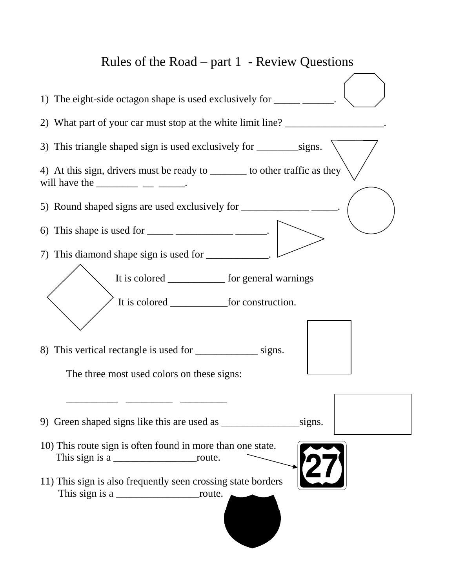## Rules of the Road – part 1 - Review Questions

| 1) The eight-side octagon shape is used exclusively for ____________.                                                                                                                                                                                                                                                                                                                                      |
|------------------------------------------------------------------------------------------------------------------------------------------------------------------------------------------------------------------------------------------------------------------------------------------------------------------------------------------------------------------------------------------------------------|
| 2) What part of your car must stop at the white limit line?                                                                                                                                                                                                                                                                                                                                                |
|                                                                                                                                                                                                                                                                                                                                                                                                            |
| 4) At this sign, drivers must be ready to _______ to other traffic as they<br>will have the $\_\_\_\_\_\_\_\_\_\_\_\_\_\_\_\_$                                                                                                                                                                                                                                                                             |
|                                                                                                                                                                                                                                                                                                                                                                                                            |
| 6) This shape is used for $\frac{1}{\sqrt{1-\frac{1}{\sqrt{1-\frac{1}{\sqrt{1-\frac{1}{\sqrt{1-\frac{1}{\sqrt{1-\frac{1}{\sqrt{1-\frac{1}{\sqrt{1-\frac{1}{\sqrt{1-\frac{1}{\sqrt{1-\frac{1}{\sqrt{1-\frac{1}{\sqrt{1-\frac{1}{\sqrt{1-\frac{1}{\sqrt{1-\frac{1}{\sqrt{1-\frac{1}{\sqrt{1-\frac{1}{\sqrt{1-\frac{1}{\sqrt{1-\frac{1}{\sqrt{1-\frac{1}{\sqrt{1-\frac{1}{\sqrt{1-\frac{1}{\sqrt{1-\frac{1}{$ |
| 7) This diamond shape sign is used for ____________.                                                                                                                                                                                                                                                                                                                                                       |
| It is colored _____________ for general warnings                                                                                                                                                                                                                                                                                                                                                           |
| 8) This vertical rectangle is used for __________________ signs.<br>The three most used colors on these signs:                                                                                                                                                                                                                                                                                             |
| signs.                                                                                                                                                                                                                                                                                                                                                                                                     |
| 10) This route sign is often found in more than one state.<br>27                                                                                                                                                                                                                                                                                                                                           |
| 11) This sign is also frequently seen crossing state borders                                                                                                                                                                                                                                                                                                                                               |